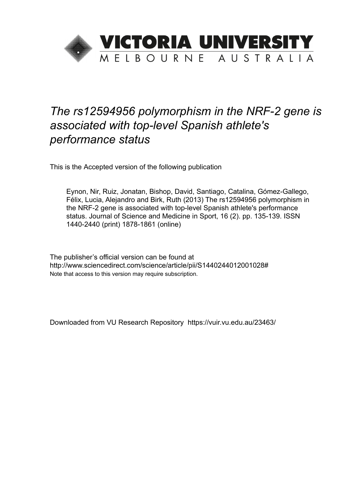

# *The rs12594956 polymorphism in the NRF-2 gene is associated with top-level Spanish athlete's performance status*

This is the Accepted version of the following publication

Eynon, Nir, Ruiz, Jonatan, Bishop, David, Santiago, Catalina, Gómez-Gallego, Félix, Lucia, Alejandro and Birk, Ruth (2013) The rs12594956 polymorphism in the NRF-2 gene is associated with top-level Spanish athlete's performance status. Journal of Science and Medicine in Sport, 16 (2). pp. 135-139. ISSN 1440-2440 (print) 1878-1861 (online)

The publisher's official version can be found at http://www.sciencedirect.com/science/article/pii/S1440244012001028# Note that access to this version may require subscription.

Downloaded from VU Research Repository https://vuir.vu.edu.au/23463/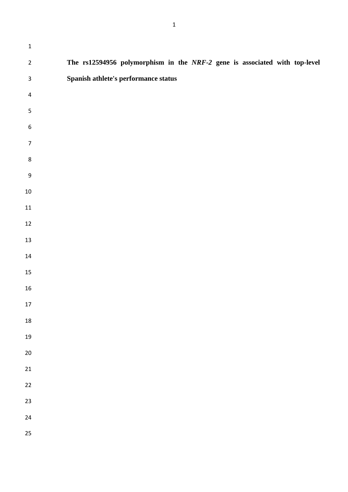| $\mathbf 1$      |                                                                            |
|------------------|----------------------------------------------------------------------------|
| $\mathbf 2$      | The rs12594956 polymorphism in the NRF-2 gene is associated with top-level |
| $\mathsf 3$      | Spanish athlete's performance status                                       |
| $\overline{4}$   |                                                                            |
| $\mathsf S$      |                                                                            |
| $\boldsymbol{6}$ |                                                                            |
| $\overline{7}$   |                                                                            |
| $\bf 8$          |                                                                            |
| $\boldsymbol{9}$ |                                                                            |
| $10\,$           |                                                                            |
| ${\bf 11}$       |                                                                            |
| $12\,$           |                                                                            |
| $13\,$           |                                                                            |
| $14\,$           |                                                                            |
| $15\,$           |                                                                            |
| 16               |                                                                            |
| $17\,$           |                                                                            |
| ${\bf 18}$       |                                                                            |
| $19\,$           |                                                                            |
| $20\,$           |                                                                            |
| ${\bf 21}$       |                                                                            |
| $22\,$           |                                                                            |
| 23               |                                                                            |
| 24               |                                                                            |
| 25               |                                                                            |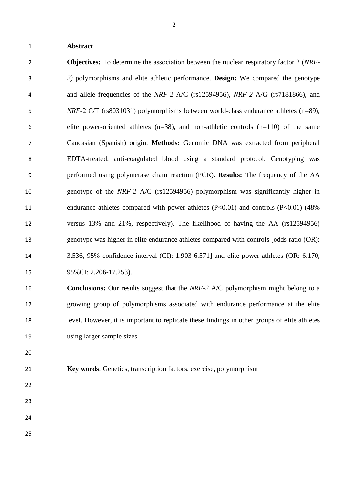#### **Abstract**

 **Objectives:** To determine the association between the nuclear respiratory factor 2 (*NRF- 2)* polymorphisms and elite athletic performance. **Design:** We compared the genotype and allele frequencies of the *NRF-2* A/C (rs12594956), *NRF-2* A/G (rs7181866), and *NRF*-2 C/T (rs8031031) polymorphisms between world-class endurance athletes (n=89), 6 elite power-oriented athletes  $(n=38)$ , and non-athletic controls  $(n=110)$  of the same Caucasian (Spanish) origin. **Methods:** Genomic DNA was extracted from peripheral EDTA-treated, anti-coagulated blood using a standard protocol. Genotyping was performed using polymerase chain reaction (PCR). **Results:** The frequency of the AA genotype of the *NRF-2* A/C (rs12594956) polymorphism was significantly higher in 11 endurance athletes compared with power athletes (P<0.01) and controls (P<0.01) (48% versus 13% and 21%, respectively). The likelihood of having the AA (rs12594956) genotype was higher in elite endurance athletes compared with controls [odds ratio (OR): 3.536, 95% confidence interval (CI): 1.903-6.571] and elite power athletes (OR: 6.170, 95%CI: 2.206-17.253).

 **Conclusions:** Our results suggest that the *NRF-2* A/C polymorphism might belong to a growing group of polymorphisms associated with endurance performance at the elite level. However, it is important to replicate these findings in other groups of elite athletes using larger sample sizes.

- 
- **Key words**: Genetics, transcription factors, exercise, polymorphism
- 
- 
- 
-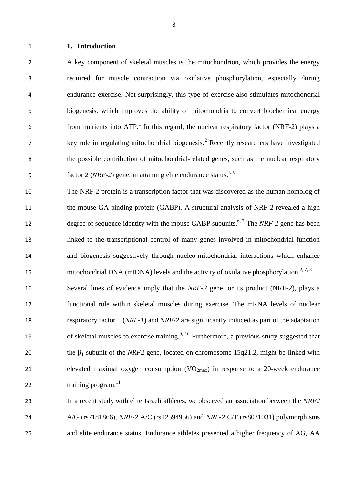#### **1. Introduction**

 A key component of skeletal muscles is the mitochondrion, which provides the energy required for muscle contraction via oxidative phosphorylation, especially during endurance exercise. Not surprisingly, this type of exercise also stimulates mitochondrial biogenesis, which improves the ability of mitochondria to convert biochemical energy 6 from nutrients into  $ATP$ .<sup>1</sup> In this regard, the nuclear respiratory factor (NRF-2) plays a 7 key role in regulating mitochondrial biogenesis.<sup>2</sup> Recently researchers have investigated the possible contribution of mitochondrial-related genes, such as the nuclear respiratory factor 2 (*NRF-2*) gene, in attaining elite endurance status.<sup>3-5</sup> 

 The NRF-2 protein is a transcription factor that was discovered as the human homolog of 11 the mouse GA-binding protein (GABP). A structural analysis of NRF-2 revealed a high degree of sequence identity with the mouse GABP subunits.<sup>6, 7</sup> The *NRF-2* gene has been linked to the transcriptional control of many genes involved in mitochondrial function and biogenesis suggestively through nucleo-mitochondrial interactions which enhance 15 mitochondrial DNA (mtDNA) levels and the activity of oxidative phosphorylation.<sup>2, 7, 8</sup>

 Several lines of evidence imply that the *NRF-2* gene, or its product (NRF-2), plays a functional role within skeletal muscles during exercise. The mRNA levels of nuclear respiratory factor 1 (*NRF-1*) and *NRF-2* are significantly induced as part of the adaptation 19 of skeletal muscles to exercise training.<sup>9, 10</sup> Furthermore, a previous study suggested that 20 the  $\beta_1$ -subunit of the *NRF2* gene, located on chromosome 15q21.2, might be linked with 21 elevated maximal oxygen consumption  $(VO_{2max})$  in response to a 20-week endurance 22  $\text{training program.}^{11}$ 

 In a recent study with elite Israeli athletes, we observed an association between the *NRF2*  A/G (rs7181866), *NRF-2* A/C (rs12594956) and *NRF-2* C/T (rs8031031) polymorphisms and elite endurance status. Endurance athletes presented a higher frequency of AG, AA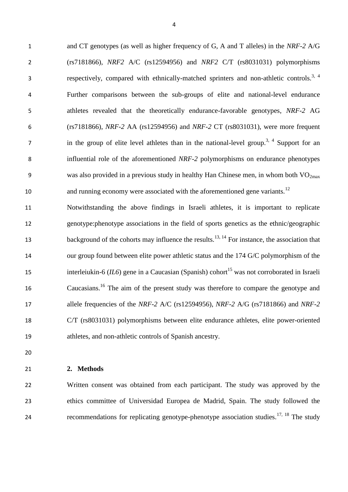and CT genotypes (as well as higher frequency of G, A and T alleles) in the *NRF-2* A/G (rs7181866), *NRF2* A/C (rs12594956) and *NRF2* C/T (rs8031031) polymorphisms respectively, compared with ethnically-matched sprinters and non-athletic controls.<sup>3, 4</sup> Further comparisons between the sub-groups of elite and national-level endurance athletes revealed that the theoretically endurance-favorable genotypes, *NRF-2* AG (rs7181866), *NRF-2* AA (rs12594956) and *NRF-2* CT (rs8031031), were more frequent  $\sigma$  in the group of elite level athletes than in the national-level group.<sup>3, 4</sup> Support for an influential role of the aforementioned *NRF-2* polymorphisms on endurance phenotypes 9 was also provided in a previous study in healthy Han Chinese men, in whom both  $VO_{2max}$ and running economy were associated with the aforementioned gene variants.<sup>12</sup>

 Notwithstanding the above findings in Israeli athletes, it is important to replicate genotype:phenotype associations in the field of sports genetics as the ethnic/geographic background of the cohorts may influence the results.<sup>13, 14</sup> For instance, the association that our group found between elite power athletic status and the 174 G/C polymorphism of the interleiukin-6 (*IL6*) gene in a Caucasian (Spanish) cohort<sup>15</sup> was not corroborated in Israeli 16 Caucasians.<sup>16</sup> The aim of the present study was therefore to compare the genotype and allele frequencies of the *NRF-2* A/C (rs12594956), *NRF-2* A/G (rs7181866) and *NRF-2*  C/T (rs8031031) polymorphisms between elite endurance athletes, elite power-oriented athletes, and non-athletic controls of Spanish ancestry.

### **2. Methods**

 Written consent was obtained from each participant. The study was approved by the ethics committee of Universidad Europea de Madrid, Spain. The study followed the recommendations for replicating genotype-phenotype association studies.<sup>17, 18</sup> The study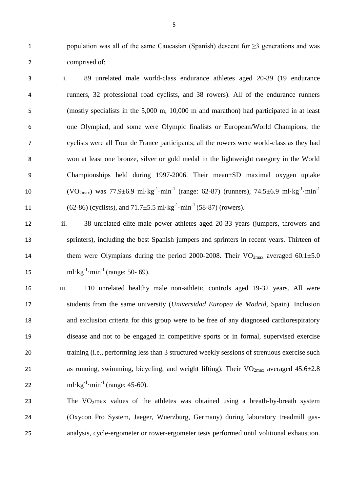1 population was all of the same Caucasian (Spanish) descent for  $\geq$ 3 generations and was comprised of:

- i. 89 unrelated male world-class endurance athletes aged 20-39 (19 endurance runners, 32 professional road cyclists, and 38 rowers). All of the endurance runners (mostly specialists in the 5,000 m, 10,000 m and marathon) had participated in at least one Olympiad, and some were Olympic finalists or European/World Champions; the cyclists were all Tour de France participants; all the rowers were world-class as they had won at least one bronze, silver or gold medal in the lightweight category in the World Championships held during 1997-2006. Their mean±SD maximal oxygen uptake (VO<sub>2max</sub>) was 77.9±6.9 ml·kg<sup>-1</sup>·min<sup>-1</sup> (range: 62-87) (runners), 74.5±6.9 ml·kg<sup>-1</sup>·min<sup>-1</sup> 11 (62-86) (cyclists), and  $71.7\pm5.5$  ml·kg<sup>-1</sup>·min<sup>-1</sup> (58-87) (rowers).
- ii. 38 unrelated elite male power athletes aged 20-33 years (jumpers, throwers and sprinters), including the best Spanish jumpers and sprinters in recent years. Thirteen of 14 them were Olympians during the period 2000-2008. Their  $VO_{2max}$  averaged 60.1 $\pm$ 5.0 15  $ml \cdot kg^{-1} \cdot min^{-1}$  (range: 50- 69).
- iii. 110 unrelated healthy male non-athletic controls aged 19-32 years. All were students from the same university (*Universidad Europea de Madrid*, Spain). Inclusion and exclusion criteria for this group were to be free of any diagnosed cardiorespiratory disease and not to be engaged in competitive sports or in formal, supervised exercise training (i.e., performing less than 3 structured weekly sessions of strenuous exercise such 21 as running, swimming, bicycling, and weight lifting). Their  $VO_{2max}$  averaged 45.6 $\pm$ 2.8 22 ml·kg<sup>-1</sup>·min<sup>-1</sup> (range: 45-60).

23 The  $VO<sub>2</sub>max$  values of the athletes was obtained using a breath-by-breath system (Oxycon Pro System, Jaeger, Wuerzburg, Germany) during laboratory treadmill gas-analysis, cycle-ergometer or rower-ergometer tests performed until volitional exhaustion.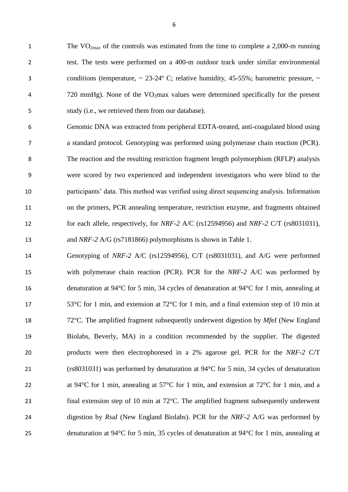1 The VO<sub>2max</sub> of the controls was estimated from the time to complete a 2,000-m running test. The tests were performed on a 400-m outdoor track under similar environmental 3 conditions (temperature,  $\sim 23{\text -}24^{\circ}$  C; relative humidity, 45-55%; barometric pressure,  $\sim$ 4  $720 \text{ mmHg}$ ). None of the VO<sub>2</sub>max values were determined specifically for the present study (i.e., we retrieved them from our database).

 Genomic DNA was extracted from peripheral EDTA-treated, anti-coagulated blood using a standard protocol. Genotyping was performed using polymerase chain reaction (PCR). The reaction and the resulting restriction fragment length polymorphism (RFLP) analysis were scored by two experienced and independent investigators who were blind to the participants' data. This method was verified using direct sequencing analysis. Information on the primers, PCR annealing temperature, restriction enzyme, and fragments obtained for each allele, respectively, for *NRF-2* A/C (rs12594956) and *NRF-2* C/T (rs8031031), and *NRF-2* A/G (rs7181866) polymorphisms is shown in Table 1.

 Genotyping of *NRF-2* A/C (rs12594956), C/T (rs8031031), and A/G were performed with polymerase chain reaction (PCR). PCR for the *NRF-2* A/C was performed by denaturation at 94°C for 5 min, 34 cycles of denaturation at 94°C for 1 min, annealing at 53°C for 1 min, and extension at 72°C for 1 min, and a final extension step of 10 min at 72°C. The amplified fragment subsequently underwent digestion by *Mf*e*I* (New England Biolabs, Beverly, MA) in a condition recommended by the supplier. The digested products were then electrophoresed in a 2% agarose gel. PCR for the *NRF-2* C/T (rs8031031) was performed by denaturation at 94°C for 5 min, 34 cycles of denaturation 22 at 94 $\degree$ C for 1 min, annealing at 57 $\degree$ C for 1 min, and extension at 72 $\degree$ C for 1 min, and a final extension step of 10 min at 72°C. The amplified fragment subsequently underwent digestion by *Rs*a*I* (New England Biolabs). PCR for the *NRF-2* A/G was performed by denaturation at 94°C for 5 min, 35 cycles of denaturation at 94°C for 1 min, annealing at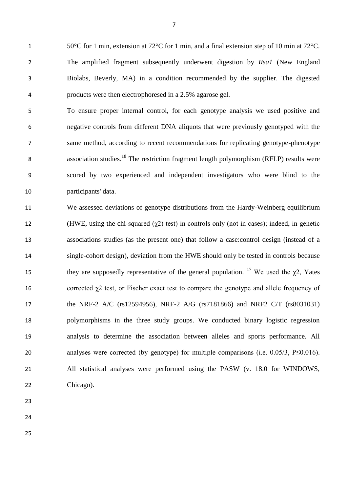50°C for 1 min, extension at 72°C for 1 min, and a final extension step of 10 min at 72°C. The amplified fragment subsequently underwent digestion by *Rsa1* (New England Biolabs, Beverly, MA) in a condition recommended by the supplier. The digested products were then electrophoresed in a 2.5% agarose gel.

 To ensure proper internal control, for each genotype analysis we used positive and negative controls from different DNA aliquots that were previously genotyped with the same method, according to recent recommendations for replicating genotype-phenotype 8 association studies.<sup>18</sup> The restriction fragment length polymorphism (RFLP) results were scored by two experienced and independent investigators who were blind to the participants' data.

 We assessed deviations of genotype distributions from the Hardy-Weinberg equilibrium 12 (HWE, using the chi-squared  $(\gamma 2)$  test) in controls only (not in cases); indeed, in genetic associations studies (as the present one) that follow a case:control design (instead of a single-cohort design), deviation from the HWE should only be tested in controls because they are supposedly representative of the general population. <sup>17</sup> We used the  $\gamma$ 2, Yates 16 corrected  $\gamma$ 2 test, or Fischer exact test to compare the genotype and allele frequency of the NRF-2 A/C (rs12594956), NRF-2 A/G (rs7181866) and NRF2 C/T (rs8031031) polymorphisms in the three study groups. We conducted binary logistic regression analysis to determine the association between alleles and sports performance. All 20 analyses were corrected (by genotype) for multiple comparisons (i.e. 0.05/3, P≤0.016). All statistical analyses were performed using the PASW (v. 18.0 for WINDOWS, Chicago).

- 
- 
-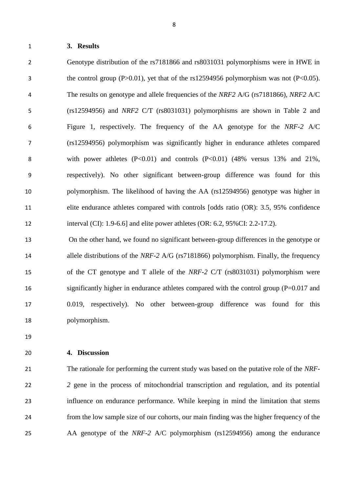**3. Results**

 Genotype distribution of the rs7181866 and rs8031031 polymorphisms were in HWE in the control group (P>0.01), yet that of the rs12594956 polymorphism was not (P<0.05). The results on genotype and allele frequencies of the *NRF2* A/G (rs7181866), *NRF2* A/C (rs12594956) and *NRF2* C/T (rs8031031) polymorphisms are shown in Table 2 and Figure 1, respectively. The frequency of the AA genotype for the *NRF-2* A/C (rs12594956) polymorphism was significantly higher in endurance athletes compared 8 with power athletes (P<0.01) and controls (P<0.01) (48% versus 13% and 21%, respectively). No other significant between-group difference was found for this polymorphism. The likelihood of having the AA (rs12594956) genotype was higher in elite endurance athletes compared with controls [odds ratio (OR): 3.5, 95% confidence interval (CI): 1.9-6.6] and elite power athletes (OR: 6.2, 95%CI: 2.2-17.2).

 On the other hand, we found no significant between-group differences in the genotype or allele distributions of the *NRF-2* A/G (rs7181866) polymorphism. Finally, the frequency of the CT genotype and T allele of the *NRF-2* C/T (rs8031031) polymorphism were significantly higher in endurance athletes compared with the control group (P=0.017 and 0.019, respectively). No other between-group difference was found for this polymorphism.

#### **4. Discussion**

 The rationale for performing the current study was based on the putative role of the *NRF- 2* gene in the process of mitochondrial transcription and regulation, and its potential influence on endurance performance. While keeping in mind the limitation that stems from the low sample size of our cohorts, our main finding was the higher frequency of the AA genotype of the *NRF-2* A/C polymorphism (rs12594956) among the endurance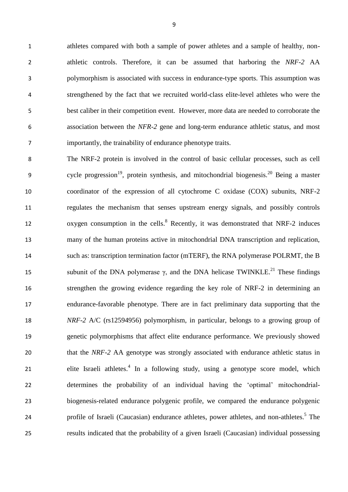athletes compared with both a sample of power athletes and a sample of healthy, non- athletic controls. Therefore, it can be assumed that harboring the *NRF-2* AA polymorphism is associated with success in endurance-type sports. This assumption was strengthened by the fact that we recruited world-class elite-level athletes who were the best caliber in their competition event. However, more data are needed to corroborate the association between the *NFR-2* gene and long-term endurance athletic status, and most importantly, the trainability of endurance phenotype traits.

 The NRF-2 protein is involved in the control of basic cellular processes, such as cell 9 cycle progression<sup>19</sup>, protein synthesis, and mitochondrial biogenesis.<sup>20</sup> Being a master coordinator of the expression of all cytochrome C oxidase (COX) subunits, NRF-2 regulates the mechanism that senses upstream energy signals, and possibly controls 12 oxygen consumption in the cells.<sup>8</sup> Recently, it was demonstrated that NRF-2 induces many of the human proteins active in mitochondrial DNA transcription and replication, such as: transcription termination factor (mTERF), the RNA polymerase POLRMT, the B 15 subunit of the DNA polymerase γ, and the DNA helicase TWINKLE.<sup>21</sup> These findings strengthen the growing evidence regarding the key role of NRF-2 in determining an endurance-favorable phenotype. There are in fact preliminary data supporting that the *NRF-2* A/C (rs12594956) polymorphism, in particular, belongs to a growing group of genetic polymorphisms that affect elite endurance performance. We previously showed 20 that the *NRF-2* AA genotype was strongly associated with endurance athletic status in 21 elite Israeli athletes.<sup>4</sup> In a following study, using a genotype score model, which determines the probability of an individual having the 'optimal' mitochondrial- biogenesis-related endurance polygenic profile, we compared the endurance polygenic 24 profile of Israeli (Caucasian) endurance athletes, power athletes, and non-athletes.<sup>5</sup> The results indicated that the probability of a given Israeli (Caucasian) individual possessing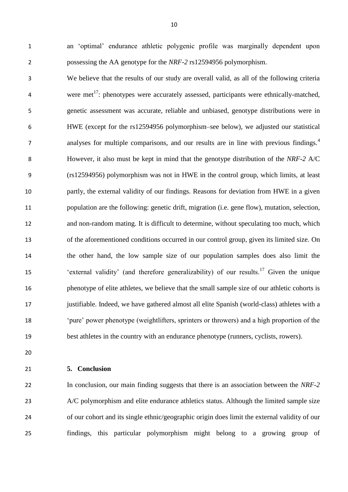an 'optimal' endurance athletic polygenic profile was marginally dependent upon possessing the AA genotype for the *NRF-2* rs12594956 polymorphism.

 We believe that the results of our study are overall valid, as all of the following criteria  $\mu$  were met<sup>17</sup>: phenotypes were accurately assessed, participants were ethnically-matched, genetic assessment was accurate, reliable and unbiased, genotype distributions were in HWE (except for the rs12594956 polymorphism–see below), we adjusted our statistical analyses for multiple comparisons, and our results are in line with previous findings.<sup>4</sup> However, it also must be kept in mind that the genotype distribution of the *NRF-2* A/C (rs12594956) polymorphism was not in HWE in the control group, which limits, at least partly, the external validity of our findings. Reasons for deviation from HWE in a given population are the following: genetic drift, migration (i.e. gene flow), mutation, selection, and non-random mating. It is difficult to determine, without speculating too much, which of the aforementioned conditions occurred in our control group, given its limited size. On the other hand, the low sample size of our population samples does also limit the <sup>15</sup> 'external validity' (and therefore generalizability) of our results.<sup>17</sup> Given the unique phenotype of elite athletes, we believe that the small sample size of our athletic cohorts is justifiable. Indeed, we have gathered almost all elite Spanish (world-class) athletes with a 'pure' power phenotype (weightlifters, sprinters or throwers) and a high proportion of the best athletes in the country with an endurance phenotype (runners, cyclists, rowers).

**5. Conclusion**

 In conclusion, our main finding suggests that there is an association between the *NRF-2* 23 A/C polymorphism and elite endurance athletics status. Although the limited sample size of our cohort and its single ethnic/geographic origin does limit the external validity of our findings, this particular polymorphism might belong to a growing group of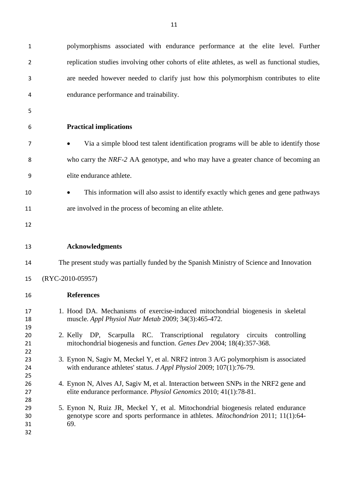| $\mathbf{1}$               | polymorphisms associated with endurance performance at the elite level. Further                                                                                                    |  |  |  |  |  |  |  |  |  |
|----------------------------|------------------------------------------------------------------------------------------------------------------------------------------------------------------------------------|--|--|--|--|--|--|--|--|--|
| $\overline{2}$             | replication studies involving other cohorts of elite athletes, as well as functional studies,                                                                                      |  |  |  |  |  |  |  |  |  |
| 3                          | are needed however needed to clarify just how this polymorphism contributes to elite                                                                                               |  |  |  |  |  |  |  |  |  |
| 4                          | endurance performance and trainability.                                                                                                                                            |  |  |  |  |  |  |  |  |  |
| 5                          |                                                                                                                                                                                    |  |  |  |  |  |  |  |  |  |
| 6                          | <b>Practical implications</b>                                                                                                                                                      |  |  |  |  |  |  |  |  |  |
| 7                          | Via a simple blood test talent identification programs will be able to identify those<br>$\bullet$                                                                                 |  |  |  |  |  |  |  |  |  |
| 8                          | who carry the NRF-2 AA genotype, and who may have a greater chance of becoming an                                                                                                  |  |  |  |  |  |  |  |  |  |
| 9                          | elite endurance athlete.                                                                                                                                                           |  |  |  |  |  |  |  |  |  |
| 10                         | This information will also assist to identify exactly which genes and gene pathways<br>$\bullet$                                                                                   |  |  |  |  |  |  |  |  |  |
| 11                         | are involved in the process of becoming an elite athlete.                                                                                                                          |  |  |  |  |  |  |  |  |  |
| 12                         |                                                                                                                                                                                    |  |  |  |  |  |  |  |  |  |
| 13                         | <b>Acknowledgments</b>                                                                                                                                                             |  |  |  |  |  |  |  |  |  |
| 14                         | The present study was partially funded by the Spanish Ministry of Science and Innovation                                                                                           |  |  |  |  |  |  |  |  |  |
| 15                         | (RYC-2010-05957)                                                                                                                                                                   |  |  |  |  |  |  |  |  |  |
|                            |                                                                                                                                                                                    |  |  |  |  |  |  |  |  |  |
| 16                         | <b>References</b>                                                                                                                                                                  |  |  |  |  |  |  |  |  |  |
| 17<br>18                   | 1. Hood DA. Mechanisms of exercise-induced mitochondrial biogenesis in skeletal<br>muscle. Appl Physiol Nutr Metab 2009; 34(3):465-472.                                            |  |  |  |  |  |  |  |  |  |
| 19<br>20<br>21             | 2. Kelly DP, Scarpulla RC. Transcriptional regulatory circuits<br>controlling<br>mitochondrial biogenesis and function. Genes Dev 2004; 18(4):357-368.                             |  |  |  |  |  |  |  |  |  |
| 22<br>23<br>24             | 3. Eynon N, Sagiv M, Meckel Y, et al. NRF2 intron 3 A/G polymorphism is associated<br>with endurance athletes' status. <i>J Appl Physiol</i> 2009; 107(1):76-79.                   |  |  |  |  |  |  |  |  |  |
| 25<br>26<br>27             | 4. Eynon N, Alves AJ, Sagiv M, et al. Interaction between SNPs in the NRF2 gene and<br>elite endurance performance. Physiol Genomics 2010; 41(1):78-81.                            |  |  |  |  |  |  |  |  |  |
| 28<br>29<br>30<br>31<br>32 | 5. Eynon N, Ruiz JR, Meckel Y, et al. Mitochondrial biogenesis related endurance<br>genotype score and sports performance in athletes. <i>Mitochondrion</i> 2011; 11(1):64-<br>69. |  |  |  |  |  |  |  |  |  |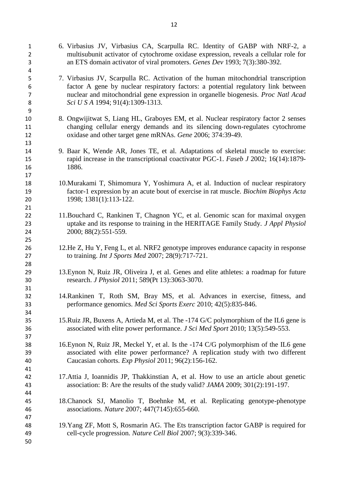6. Virbasius JV, Virbasius CA, Scarpulla RC. Identity of GABP with NRF-2, a multisubunit activator of cytochrome oxidase expression, reveals a cellular role for an ETS domain activator of viral promoters. *Genes Dev* 1993; 7(3):380-392. 7. Virbasius JV, Scarpulla RC. Activation of the human mitochondrial transcription factor A gene by nuclear respiratory factors: a potential regulatory link between nuclear and mitochondrial gene expression in organelle biogenesis. *Proc Natl Acad Sci U S A* 1994; 91(4):1309-1313. 8. Ongwijitwat S, Liang HL, Graboyes EM, et al. Nuclear respiratory factor 2 senses changing cellular energy demands and its silencing down-regulates cytochrome oxidase and other target gene mRNAs. *Gene* 2006; 374:39-49. 9. Baar K, Wende AR, Jones TE, et al. Adaptations of skeletal muscle to exercise: rapid increase in the transcriptional coactivator PGC-1. *Faseb J* 2002; 16(14):1879- 1886. 10.Murakami T, Shimomura Y, Yoshimura A, et al. Induction of nuclear respiratory factor-1 expression by an acute bout of exercise in rat muscle. *Biochim Biophys Acta* 1998; 1381(1):113-122. 11.Bouchard C, Rankinen T, Chagnon YC, et al. Genomic scan for maximal oxygen uptake and its response to training in the HERITAGE Family Study. *J Appl Physiol* 2000; 88(2):551-559. 12.He Z, Hu Y, Feng L, et al. NRF2 genotype improves endurance capacity in response to training. *Int J Sports Med* 2007; 28(9):717-721. 13.Eynon N, Ruiz JR, Oliveira J, et al. Genes and elite athletes: a roadmap for future research. *J Physiol* 2011; 589(Pt 13):3063-3070. 14.Rankinen T, Roth SM, Bray MS, et al. Advances in exercise, fitness, and performance genomics. *Med Sci Sports Exerc* 2010; 42(5):835-846. 15.Ruiz JR, Buxens A, Artieda M, et al. The -174 G/C polymorphism of the IL6 gene is associated with elite power performance. *J Sci Med Sport* 2010; 13(5):549-553. 16.Eynon N, Ruiz JR, Meckel Y, et al. Is the -174 C/G polymorphism of the IL6 gene associated with elite power performance? A replication study with two different Caucasian cohorts. *Exp Physiol* 2011; 96(2):156-162. 17.Attia J, Ioannidis JP, Thakkinstian A, et al. How to use an article about genetic association: B: Are the results of the study valid? *JAMA* 2009; 301(2):191-197. 18.Chanock SJ, Manolio T, Boehnke M, et al. Replicating genotype-phenotype associations. *Nature* 2007; 447(7145):655-660. 19.Yang ZF, Mott S, Rosmarin AG. The Ets transcription factor GABP is required for cell-cycle progression. *Nature Cell Biol* 2007; 9(3):339-346.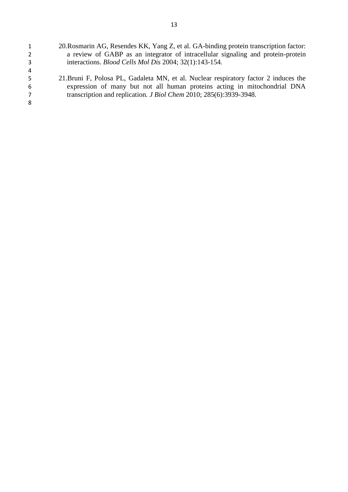| $\mathbf{1}$   | 20. Rosmarin AG, Resendes KK, Yang Z, et al. GA-binding protein transcription factor: |
|----------------|---------------------------------------------------------------------------------------|
| $2^{\circ}$    | a review of GABP as an integrator of intracellular signaling and protein-protein      |
| 3              | interactions. Blood Cells Mol Dis 2004; 32(1):143-154.                                |
| $\overline{4}$ |                                                                                       |
| -5             | 21. Bruni F, Polosa PL, Gadaleta MN, et al. Nuclear respiratory factor 2 induces the  |
| 6              | expression of many but not all human proteins acting in mitochondrial DNA             |
| 7              | transcription and replication. <i>J Biol Chem 2010</i> ; 285(6):3939-3948.            |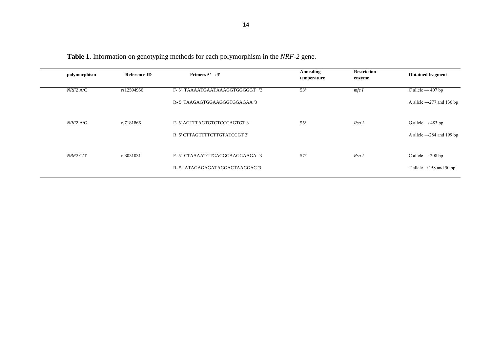| polymorphism | <b>Reference ID</b> | Primers $5' \rightarrow 3'$    | <b>Annealing</b><br>temperature | <b>Restriction</b><br>enzyme | <b>Obtained fragment</b>              |
|--------------|---------------------|--------------------------------|---------------------------------|------------------------------|---------------------------------------|
| $NRF2$ A/C   | rs12594956          | F-5' TAAAATGAATAAAGGTGGGGGT '3 | $53^\circ$                      | mfeI                         | C allele $\rightarrow$ 407 bp         |
|              |                     | R-5' TAAGAGTGGAAGGGTGGAGAA '3  |                                 |                              | A allele $\rightarrow$ 277 and 130 bp |
| $NRF2$ A/G   | rs7181866           | F-5' AGTTTAGTGTCTCCCAGTGT 3'   | $55^{\circ}$                    | Rsa I                        | G allele $\rightarrow$ 483 bp         |
|              |                     | R 5' CTTAGTTTTCTTGTATCCGT 3'   |                                 |                              | A allele $\rightarrow$ 284 and 199 bp |
| $NRF2$ C/T   | rs8031031           | F-5' CTAAAATGTGAGGGAAGGAAGA '3 | $57^\circ$                      | Rsa I                        | C allele $\rightarrow$ 208 bp         |
|              |                     | R-5' ATAGAGAGATAGGACTAAGGAC '3 |                                 |                              | T allele $\rightarrow$ 158 and 50 bp  |

**Table 1.** Information on genotyping methods for each polymorphism in the *NRF-2* gene.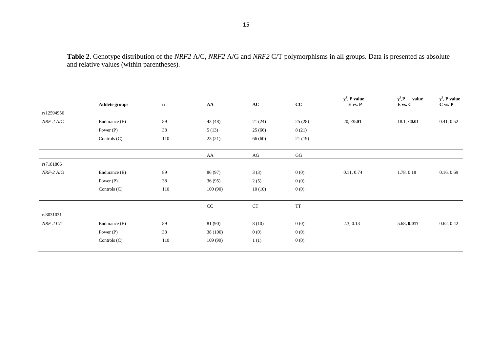**Table 2**. Genotype distribution of the *NRF2* A/C, *NRF2* A/G and *NRF2* C/T polymorphisms in all groups. Data is presented as absolute and relative values (within parentheses).

|               | Athlete groups | $\mathbf n$ | AA       | $\bf AC$  | cc        | $\chi^2$ , P value<br>$E$ vs. $P$ | $\chi^2$ , P<br>value<br>${\bf E}$ vs. ${\bf C}$ | $\chi^2$ , P value<br>$C$ vs. $P$ |
|---------------|----------------|-------------|----------|-----------|-----------|-----------------------------------|--------------------------------------------------|-----------------------------------|
| rs12594956    |                |             |          |           |           |                                   |                                                  |                                   |
| $NRF-2$ A/C   | Endurance (E)  | 89          | 43(48)   | 21(24)    | 25(28)    | 20, <b><sub>0.01</sub></b>        | 18.1, <b><i>0.01</i></b>                         | 0.41, 0.52                        |
|               | Power $(P)$    | 38          | 5(13)    | 25(66)    | 8(21)     |                                   |                                                  |                                   |
|               | Controls (C)   | 110         | 23(21)   | 66(60)    | 21(19)    |                                   |                                                  |                                   |
|               |                |             | AA       | $\rm{AG}$ | GG        |                                   |                                                  |                                   |
| rs7181866     |                |             |          |           |           |                                   |                                                  |                                   |
| $NRF-2$ A/G   | Endurance (E)  | 89          | 86 (97)  | 3(3)      | 0(0)      | 0.11, 0.74                        | 1.78, 0.18                                       | 0.16, 0.69                        |
|               | Power $(P)$    | 38          | 36(95)   | 2(5)      | 0(0)      |                                   |                                                  |                                   |
|               | Controls (C)   | 110         | 100(90)  | 10(10)    | 0(0)      |                                   |                                                  |                                   |
|               |                |             | CC       | CT        | <b>TT</b> |                                   |                                                  |                                   |
| rs8031031     |                |             |          |           |           |                                   |                                                  |                                   |
| $NRF-2$ $C/T$ | Endurance (E)  | 89          | 81 (90)  | 8(10)     | 0(0)      | 2.3, 0.13                         | 5.68, 0.017                                      | 0.62, 0.42                        |
|               | Power $(P)$    | 38          | 38 (100) | 0(0)      | 0(0)      |                                   |                                                  |                                   |
|               | Controls (C)   | 110         | 109(99)  | 1(1)      | 0(0)      |                                   |                                                  |                                   |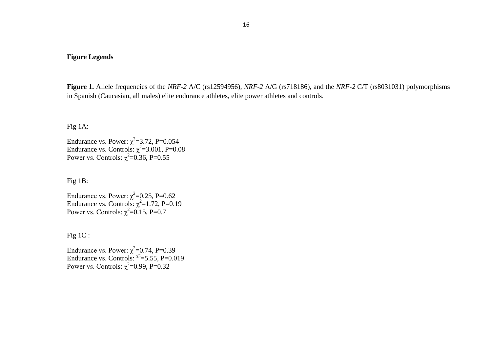#### **Figure Legends**

**Figure 1.** Allele frequencies of the *NRF-2* A/C (rs12594956), *NRF-2* A/G (rs718186), and the *NRF-2* C/T (rs8031031) polymorphisms in Spanish (Caucasian, all males) elite endurance athletes, elite power athletes and controls.

Fig 1A:

Endurance vs. Power:  $\chi^2$ =3.72, P=0.054 Endurance vs. Controls:  $\chi^2$ =3.001, P=0.08 Power vs. Controls:  $\chi^2$ =0.36, P=0.55

Fig 1B:

Endurance vs. Power:  $\chi^2$ =0.25, P=0.62 Endurance vs. Controls:  $\chi^2$ =1.72, P=0.19 Power vs. Controls:  $\chi^2$ =0.15, P=0.7

Fig 1C :

Endurance vs. Power:  $\chi^2$ =0.74, P=0.39 Endurance vs. Controls:  $\chi^2$ =5.55, P=0.019 Power vs. Controls:  $\chi^2$ =0.99, P=0.32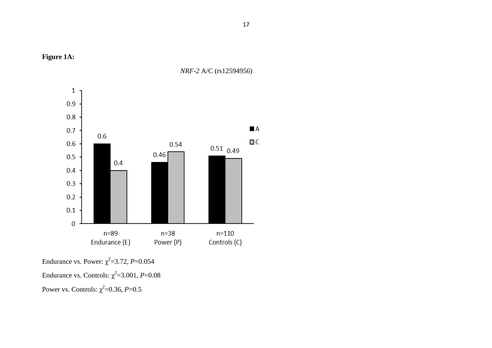



*NRF-2* A/C (rs12594956)

Endurance vs. Power:  $\chi^2$ =3.72, *P*=0.054 Endurance vs. Controls:  $\chi^2$ =3.001, *P*=0.08 Power vs. Controls:  $\chi^2$ =0.36, *P*=0.5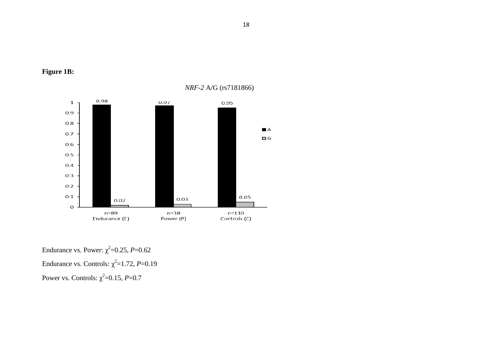

## **Figure 1B:**

Endurance vs. Power:  $\chi^2$ =0.25, *P*=0.62 Endurance vs. Controls:  $\chi^2$ =1.72, *P*=0.19 Power vs. Controls:  $\chi^2$ =0.15, *P*=0.7